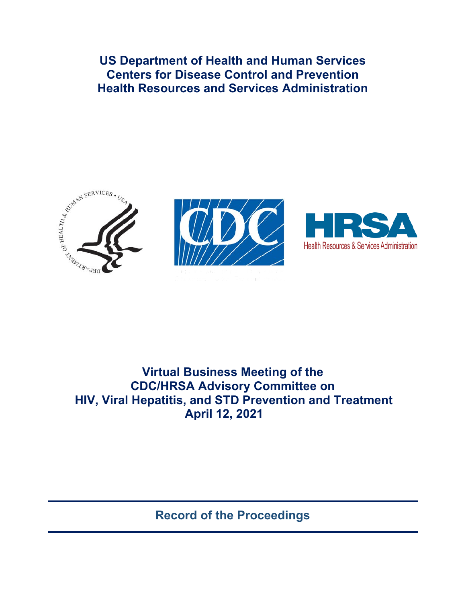**US Department of Health and Human Services Centers for Disease Control and Prevention Health Resources and Services Administration** 





ntegl and Prevention



# **Virtual Business Meeting of the CDC/HRSA Advisory Committee on HIV, Viral Hepatitis, and STD Prevention and Treatment April 12, 2021**

**Record of the Proceedings**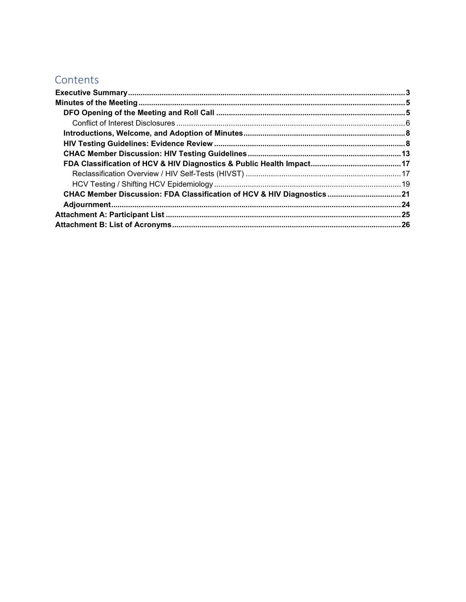## Contents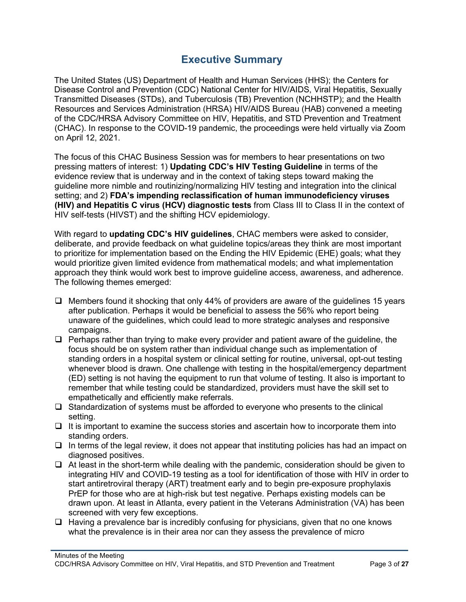## **Executive Summary**

<span id="page-2-0"></span>The United States (US) Department of Health and Human Services (HHS); the Centers for Disease Control and Prevention (CDC) National Center for HIV/AIDS, Viral Hepatitis, Sexually Transmitted Diseases (STDs), and Tuberculosis (TB) Prevention (NCHHSTP); and the Health Resources and Services Administration (HRSA) HIV/AIDS Bureau (HAB) convened a meeting of the CDC/HRSA Advisory Committee on HIV, Hepatitis, and STD Prevention and Treatment (CHAC). In response to the COVID-19 pandemic, the proceedings were held virtually via Zoom on April 12, 2021.

The focus of this CHAC Business Session was for members to hear presentations on two pressing matters of interest: 1) **Updating CDC's HIV Testing Guideline** in terms of the evidence review that is underway and in the context of taking steps toward making the guideline more nimble and routinizing/normalizing HIV testing and integration into the clinical setting; and 2) **FDA's impending reclassification of human immunodeficiency viruses (HIV) and Hepatitis C virus (HCV) diagnostic tests** from Class III to Class II in the context of HIV self-tests (HIVST) and the shifting HCV epidemiology.

With regard to **updating CDC's HIV guidelines**, CHAC members were asked to consider, deliberate, and provide feedback on what guideline topics/areas they think are most important to prioritize for implementation based on the Ending the HIV Epidemic (EHE) goals; what they would prioritize given limited evidence from mathematical models; and what implementation approach they think would work best to improve guideline access, awareness, and adherence. The following themes emerged:

- $\Box$  Members found it shocking that only 44% of providers are aware of the guidelines 15 years after publication. Perhaps it would be beneficial to assess the 56% who report being unaware of the guidelines, which could lead to more strategic analyses and responsive campaigns.
- $\Box$  Perhaps rather than trying to make every provider and patient aware of the guideline, the focus should be on system rather than individual change such as implementation of standing orders in a hospital system or clinical setting for routine, universal, opt-out testing whenever blood is drawn. One challenge with testing in the hospital/emergency department (ED) setting is not having the equipment to run that volume of testing. It also is important to remember that while testing could be standardized, providers must have the skill set to empathetically and efficiently make referrals.
- $\Box$  Standardization of systems must be afforded to everyone who presents to the clinical setting.
- $\Box$  It is important to examine the success stories and ascertain how to incorporate them into standing orders.
- $\Box$  In terms of the legal review, it does not appear that instituting policies has had an impact on diagnosed positives.
- $\Box$  At least in the short-term while dealing with the pandemic, consideration should be given to integrating HIV and COVID-19 testing as a tool for identification of those with HIV in order to start antiretroviral therapy (ART) treatment early and to begin pre-exposure prophylaxis PrEP for those who are at high-risk but test negative. Perhaps existing models can be drawn upon. At least in Atlanta, every patient in the Veterans Administration (VA) has been screened with very few exceptions.
- $\Box$  Having a prevalence bar is incredibly confusing for physicians, given that no one knows what the prevalence is in their area nor can they assess the prevalence of micro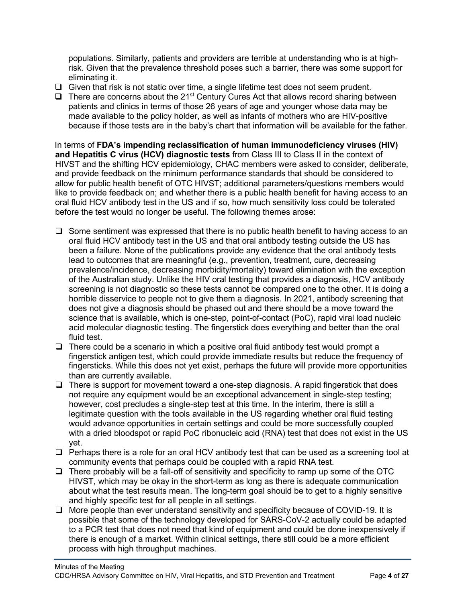populations. Similarly, patients and providers are terrible at understanding who is at highrisk. Given that the prevalence threshold poses such a barrier, there was some support for eliminating it.

- $\Box$  Given that risk is not static over time, a single lifetime test does not seem prudent.
- $\Box$  There are concerns about the 21<sup>st</sup> Century Cures Act that allows record sharing between patients and clinics in terms of those 26 years of age and younger whose data may be made available to the policy holder, as well as infants of mothers who are HIV-positive because if those tests are in the baby's chart that information will be available for the father.

In terms of **FDA's impending reclassification of human immunodeficiency viruses (HIV) and Hepatitis C virus (HCV) diagnostic tests** from Class III to Class II in the context of HIVST and the shifting HCV epidemiology, CHAC members were asked to consider, deliberate, and provide feedback on the minimum performance standards that should be considered to allow for public health benefit of OTC HIVST; additional parameters/questions members would like to provide feedback on; and whether there is a public health benefit for having access to an oral fluid HCV antibody test in the US and if so, how much sensitivity loss could be tolerated before the test would no longer be useful. The following themes arose:

- $\square$  Some sentiment was expressed that there is no public health benefit to having access to an oral fluid HCV antibody test in the US and that oral antibody testing outside the US has been a failure. None of the publications provide any evidence that the oral antibody tests lead to outcomes that are meaningful (e.g., prevention, treatment, cure, decreasing prevalence/incidence, decreasing morbidity/mortality) toward elimination with the exception of the Australian study. Unlike the HIV oral testing that provides a diagnosis, HCV antibody screening is not diagnostic so these tests cannot be compared one to the other. It is doing a horrible disservice to people not to give them a diagnosis. In 2021, antibody screening that does not give a diagnosis should be phased out and there should be a move toward the science that is available, which is one-step, point-of-contact (PoC), rapid viral load nucleic acid molecular diagnostic testing. The fingerstick does everything and better than the oral fluid test.
- $\Box$  There could be a scenario in which a positive oral fluid antibody test would prompt a fingerstick antigen test, which could provide immediate results but reduce the frequency of fingersticks. While this does not yet exist, perhaps the future will provide more opportunities than are currently available.
- $\Box$  There is support for movement toward a one-step diagnosis. A rapid fingerstick that does not require any equipment would be an exceptional advancement in single-step testing; however, cost precludes a single-step test at this time. In the interim, there is still a legitimate question with the tools available in the US regarding whether oral fluid testing would advance opportunities in certain settings and could be more successfully coupled with a dried bloodspot or rapid PoC ribonucleic acid (RNA) test that does not exist in the US yet.
- $\Box$  Perhaps there is a role for an oral HCV antibody test that can be used as a screening tool at community events that perhaps could be coupled with a rapid RNA test.
- $\Box$  There probably will be a fall-off of sensitivity and specificity to ramp up some of the OTC HIVST, which may be okay in the short-term as long as there is adequate communication about what the test results mean. The long-term goal should be to get to a highly sensitive and highly specific test for all people in all settings.
- □ More people than ever understand sensitivity and specificity because of COVID-19. It is possible that some of the technology developed for SARS-CoV-2 actually could be adapted to a PCR test that does not need that kind of equipment and could be done inexpensively if there is enough of a market. Within clinical settings, there still could be a more efficient process with high throughput machines.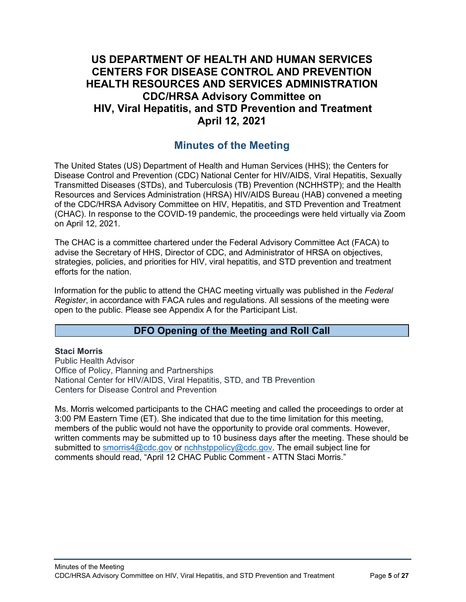## **US DEPARTMENT OF HEALTH AND HUMAN SERVICES CENTERS FOR DISEASE CONTROL AND PREVENTION HEALTH RESOURCES AND SERVICES ADMINISTRATION CDC/HRSA Advisory Committee on HIV, Viral Hepatitis, and STD Prevention and Treatment April 12, 2021**

## **Minutes of the Meeting**

<span id="page-4-0"></span>The United States (US) Department of Health and Human Services (HHS); the Centers for Disease Control and Prevention (CDC) National Center for HIV/AIDS, Viral Hepatitis, Sexually Transmitted Diseases (STDs), and Tuberculosis (TB) Prevention (NCHHSTP); and the Health Resources and Services Administration (HRSA) HIV/AIDS Bureau (HAB) convened a meeting of the CDC/HRSA Advisory Committee on HIV, Hepatitis, and STD Prevention and Treatment (CHAC). In response to the COVID-19 pandemic, the proceedings were held virtually via Zoom on April 12, 2021.

The CHAC is a committee chartered under the Federal Advisory Committee Act (FACA) to advise the Secretary of HHS, Director of CDC, and Administrator of HRSA on objectives, strategies, policies, and priorities for HIV, viral hepatitis, and STD prevention and treatment efforts for the nation.

Information for the public to attend the CHAC meeting virtually was published in the *Federal Register*, in accordance with FACA rules and regulations. All sessions of the meeting were open to the public. Please see Appendix A for the Participant List.

## **DFO Opening of the Meeting and Roll Call**

#### <span id="page-4-1"></span>**Staci Morris**

Public Health Advisor Office of Policy, Planning and Partnerships National Center for HIV/AIDS, Viral Hepatitis, STD, and TB Prevention Centers for Disease Control and Prevention

Ms. Morris welcomed participants to the CHAC meeting and called the proceedings to order at 3:00 PM Eastern Time (ET). She indicated that due to the time limitation for this meeting, members of the public would not have the opportunity to provide oral comments. However, written comments may be submitted up to 10 business days after the meeting. These should be submitted to [smorris4@cdc.gov](mailto:smorris4@cdc.gov) or [nchhstppolicy@cdc.gov.](mailto:nchhstppolicy@cdc.gov) The email subject line for comments should read, "April 12 CHAC Public Comment - ATTN Staci Morris."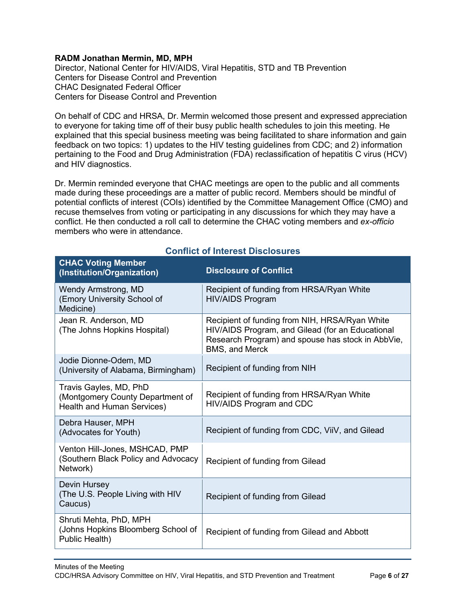#### **RADM Jonathan Mermin, MD, MPH**

Director, National Center for HIV/AIDS, Viral Hepatitis, STD and TB Prevention Centers for Disease Control and Prevention CHAC Designated Federal Officer Centers for Disease Control and Prevention

On behalf of CDC and HRSA, Dr. Mermin welcomed those present and expressed appreciation to everyone for taking time off of their busy public health schedules to join this meeting. He explained that this special business meeting was being facilitated to share information and gain feedback on two topics: 1) updates to the HIV testing guidelines from CDC; and 2) information pertaining to the Food and Drug Administration (FDA) reclassification of hepatitis C virus (HCV) and HIV diagnostics.

Dr. Mermin reminded everyone that CHAC meetings are open to the public and all comments made during these proceedings are a matter of public record. Members should be mindful of potential conflicts of interest (COIs) identified by the Committee Management Office (CMO) and recuse themselves from voting or participating in any discussions for which they may have a conflict. He then conducted a roll call to determine the CHAC voting members and *ex-officio* members who were in attendance.

<span id="page-5-0"></span>

| <b>CHAC Voting Member</b><br>(Institution/Organization)                                  | <b>Disclosure of Conflict</b>                                                                                                                                             |
|------------------------------------------------------------------------------------------|---------------------------------------------------------------------------------------------------------------------------------------------------------------------------|
| Wendy Armstrong, MD<br>(Emory University School of<br>Medicine)                          | Recipient of funding from HRSA/Ryan White<br><b>HIV/AIDS Program</b>                                                                                                      |
| Jean R. Anderson, MD<br>(The Johns Hopkins Hospital)                                     | Recipient of funding from NIH, HRSA/Ryan White<br>HIV/AIDS Program, and Gilead (for an Educational<br>Research Program) and spouse has stock in AbbVie,<br>BMS, and Merck |
| Jodie Dionne-Odem, MD<br>(University of Alabama, Birmingham)                             | Recipient of funding from NIH                                                                                                                                             |
| Travis Gayles, MD, PhD<br>(Montgomery County Department of<br>Health and Human Services) | Recipient of funding from HRSA/Ryan White<br>HIV/AIDS Program and CDC                                                                                                     |
| Debra Hauser, MPH<br>(Advocates for Youth)                                               | Recipient of funding from CDC, ViiV, and Gilead                                                                                                                           |
| Venton Hill-Jones, MSHCAD, PMP<br>(Southern Black Policy and Advocacy<br>Network)        | Recipient of funding from Gilead                                                                                                                                          |
| Devin Hursey<br>(The U.S. People Living with HIV<br>Caucus)                              | Recipient of funding from Gilead                                                                                                                                          |
| Shruti Mehta, PhD, MPH<br>(Johns Hopkins Bloomberg School of<br>Public Health)           | Recipient of funding from Gilead and Abbott                                                                                                                               |

## **Conflict of Interest Disclosures**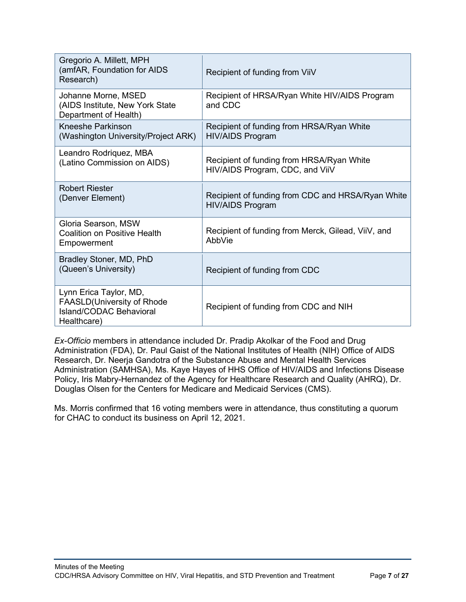| Gregorio A. Millett, MPH<br>(amfAR, Foundation for AIDS<br>Research)                           | Recipient of funding from ViiV                                               |
|------------------------------------------------------------------------------------------------|------------------------------------------------------------------------------|
| Johanne Morne, MSED<br>(AIDS Institute, New York State<br>Department of Health)                | Recipient of HRSA/Ryan White HIV/AIDS Program<br>and CDC                     |
| <b>Kneeshe Parkinson</b><br>(Washington University/Project ARK)                                | Recipient of funding from HRSA/Ryan White<br><b>HIV/AIDS Program</b>         |
| Leandro Rodriquez, MBA<br>(Latino Commission on AIDS)                                          | Recipient of funding from HRSA/Ryan White<br>HIV/AIDS Program, CDC, and ViiV |
| <b>Robert Riester</b><br>(Denver Element)                                                      | Recipient of funding from CDC and HRSA/Ryan White<br><b>HIV/AIDS Program</b> |
| Gloria Searson, MSW<br><b>Coalition on Positive Health</b><br>Empowerment                      | Recipient of funding from Merck, Gilead, ViiV, and<br>AbbVie                 |
| Bradley Stoner, MD, PhD<br>(Queen's University)                                                | Recipient of funding from CDC                                                |
| Lynn Erica Taylor, MD,<br>FAASLD(University of Rhode<br>Island/CODAC Behavioral<br>Healthcare) | Recipient of funding from CDC and NIH                                        |

*Ex-Officio* members in attendance included Dr. Pradip Akolkar of the Food and Drug Administration (FDA), Dr. Paul Gaist of the National Institutes of Health (NIH) Office of AIDS Research, Dr. Neerja Gandotra of the Substance Abuse and Mental Health Services Administration (SAMHSA), Ms. Kaye Hayes of HHS Office of HIV/AIDS and Infections Disease Policy, Iris Mabry-Hernandez of the Agency for Healthcare Research and Quality (AHRQ), Dr. Douglas Olsen for the Centers for Medicare and Medicaid Services (CMS).

Ms. Morris confirmed that 16 voting members were in attendance, thus constituting a quorum for CHAC to conduct its business on April 12, 2021.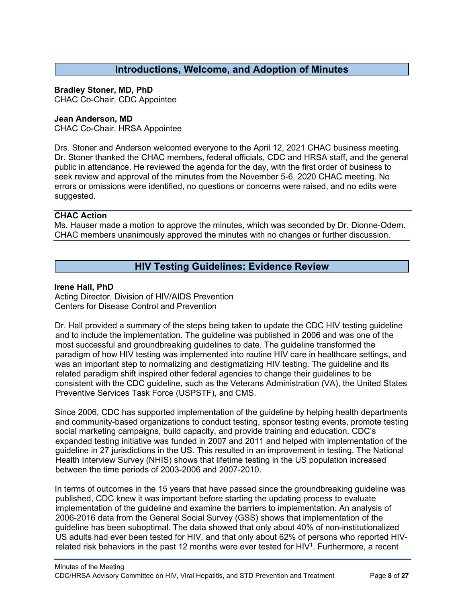### **Introductions, Welcome, and Adoption of Minutes**

#### <span id="page-7-0"></span>**Bradley Stoner, MD, PhD**

CHAC Co-Chair, CDC Appointee

#### **Jean Anderson, MD**

CHAC Co-Chair, HRSA Appointee

Drs. Stoner and Anderson welcomed everyone to the April 12, 2021 CHAC business meeting. Dr. Stoner thanked the CHAC members, federal officials, CDC and HRSA staff, and the general public in attendance. He reviewed the agenda for the day, with the first order of business to seek review and approval of the minutes from the November 5-6, 2020 CHAC meeting. No errors or omissions were identified, no questions or concerns were raised, and no edits were suggested.

#### **CHAC Action**

Ms. Hauser made a motion to approve the minutes, which was seconded by Dr. Dionne-Odem. CHAC members unanimously approved the minutes with no changes or further discussion.

## **HIV Testing Guidelines: Evidence Review**

#### <span id="page-7-1"></span>**Irene Hall, PhD**

Acting Director, Division of HIV/AIDS Prevention Centers for Disease Control and Prevention

Dr. Hall provided a summary of the steps being taken to update the CDC HIV testing guideline and to include the implementation. The guideline was published in 2006 and was one of the most successful and groundbreaking guidelines to date. The guideline transformed the paradigm of how HIV testing was implemented into routine HIV care in healthcare settings, and was an important step to normalizing and destigmatizing HIV testing. The guideline and its related paradigm shift inspired other federal agencies to change their guidelines to be consistent with the CDC guideline, such as the Veterans Administration (VA), the United States Preventive Services Task Force (USPSTF), and CMS.

Since 2006, CDC has supported implementation of the guideline by helping health departments and community-based organizations to conduct testing, sponsor testing events, promote testing social marketing campaigns, build capacity, and provide training and education. CDC's expanded testing initiative was funded in 2007 and 2011 and helped with implementation of the guideline in 27 jurisdictions in the US. This resulted in an improvement in testing. The National Health Interview Survey (NHIS) shows that lifetime testing in the US population increased between the time periods of 2003-2006 and 2007-2010.

In terms of outcomes in the 15 years that have passed since the groundbreaking guideline was published, CDC knew it was important before starting the updating process to evaluate implementation of the guideline and examine the barriers to implementation. An analysis of 2006-2016 data from the General Social Survey (GSS) shows that implementation of the guideline has been suboptimal. The data showed that only about 40% of non-institutionalized US adults had ever been tested for HIV, and that only about 62% of persons who reported HIVrelated risk behaviors in the past 12 months were ever tested for HIV<sup>1</sup>. Furthermore, a recent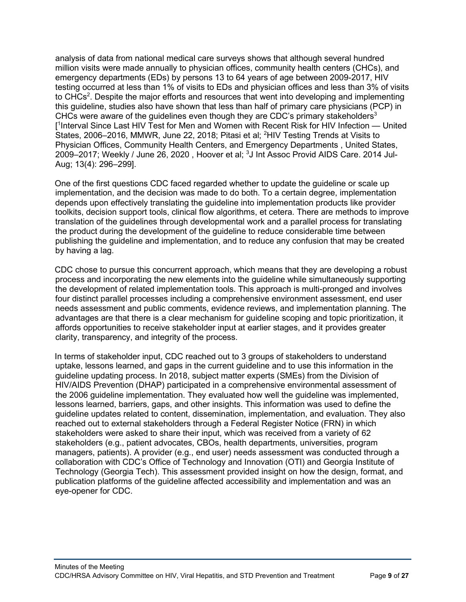analysis of data from national medical care surveys shows that although several hundred million visits were made annually to physician offices, community health centers (CHCs), and emergency departments (EDs) by persons 13 to 64 years of age between 2009-2017, HIV testing occurred at less than 1% of visits to EDs and physician offices and less than 3% of visits to CHCs<sup>2</sup>. Despite the major efforts and resources that went into developing and implementing this guideline, studies also have shown that less than half of primary care physicians (PCP) in CHCs were aware of the quidelines even though they are CDC's primary stakeholders<sup>3</sup> [ 1 Interval Since Last HIV Test for Men and Women with Recent Risk for HIV Infection — United States, 2006–2016, MMWR, June 22, 2018; Pitasi et al; <sup>2</sup>HIV Testing Trends at Visits to Physician Offices, Community Health Centers, and Emergency Departments , United States, 2009–2017; Weekly / June 26, 2020 , Hoover et al; <sup>3</sup>J Int Assoc Provid AIDS Care. 2014 Jul-Aug; 13(4): 296–299].

One of the first questions CDC faced regarded whether to update the guideline or scale up implementation, and the decision was made to do both. To a certain degree, implementation depends upon effectively translating the guideline into implementation products like provider toolkits, decision support tools, clinical flow algorithms, et cetera. There are methods to improve translation of the guidelines through developmental work and a parallel process for translating the product during the development of the guideline to reduce considerable time between publishing the guideline and implementation, and to reduce any confusion that may be created by having a lag.

CDC chose to pursue this concurrent approach, which means that they are developing a robust process and incorporating the new elements into the guideline while simultaneously supporting the development of related implementation tools. This approach is multi-pronged and involves four distinct parallel processes including a comprehensive environment assessment, end user needs assessment and public comments, evidence reviews, and implementation planning. The advantages are that there is a clear mechanism for guideline scoping and topic prioritization, it affords opportunities to receive stakeholder input at earlier stages, and it provides greater clarity, transparency, and integrity of the process.

In terms of stakeholder input, CDC reached out to 3 groups of stakeholders to understand uptake, lessons learned, and gaps in the current guideline and to use this information in the guideline updating process. In 2018, subject matter experts (SMEs) from the Division of HIV/AIDS Prevention (DHAP) participated in a comprehensive environmental assessment of the 2006 guideline implementation. They evaluated how well the guideline was implemented, lessons learned, barriers, gaps, and other insights. This information was used to define the guideline updates related to content, dissemination, implementation, and evaluation. They also reached out to external stakeholders through a Federal Register Notice (FRN) in which stakeholders were asked to share their input, which was received from a variety of 62 stakeholders (e.g., patient advocates, CBOs, health departments, universities, program managers, patients). A provider (e.g., end user) needs assessment was conducted through a collaboration with CDC's Office of Technology and Innovation (OTI) and Georgia Institute of Technology (Georgia Tech). This assessment provided insight on how the design, format, and publication platforms of the guideline affected accessibility and implementation and was an eye-opener for CDC.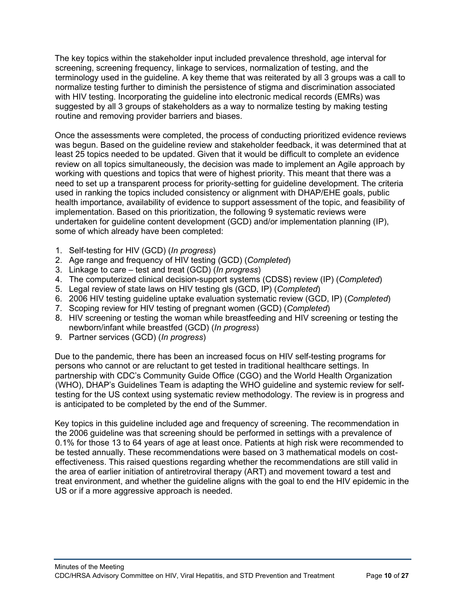The key topics within the stakeholder input included prevalence threshold, age interval for screening, screening frequency, linkage to services, normalization of testing, and the terminology used in the guideline. A key theme that was reiterated by all 3 groups was a call to normalize testing further to diminish the persistence of stigma and discrimination associated with HIV testing. Incorporating the guideline into electronic medical records (EMRs) was suggested by all 3 groups of stakeholders as a way to normalize testing by making testing routine and removing provider barriers and biases.

Once the assessments were completed, the process of conducting prioritized evidence reviews was begun. Based on the guideline review and stakeholder feedback, it was determined that at least 25 topics needed to be updated. Given that it would be difficult to complete an evidence review on all topics simultaneously, the decision was made to implement an Agile approach by working with questions and topics that were of highest priority. This meant that there was a need to set up a transparent process for priority-setting for guideline development. The criteria used in ranking the topics included consistency or alignment with DHAP/EHE goals, public health importance, availability of evidence to support assessment of the topic, and feasibility of implementation. Based on this prioritization, the following 9 systematic reviews were undertaken for guideline content development (GCD) and/or implementation planning (IP), some of which already have been completed:

- 1. Self-testing for HIV (GCD) (*In progress*)
- 2. Age range and frequency of HIV testing (GCD) (*Completed*)
- 3. Linkage to care test and treat (GCD) (*In progress*)
- 4. The computerized clinical decision-support systems (CDSS) review (IP) (*Completed*)
- 5. Legal review of state laws on HIV testing gls (GCD, IP) (*Completed*)
- 6. 2006 HIV testing guideline uptake evaluation systematic review (GCD, IP) (*Completed*)
- 7. Scoping review for HIV testing of pregnant women (GCD) (*Completed*)
- 8. HIV screening or testing the woman while breastfeeding and HIV screening or testing the newborn/infant while breastfed (GCD) (*In progress*)
- 9. Partner services (GCD) (*In progress*)

Due to the pandemic, there has been an increased focus on HIV self-testing programs for persons who cannot or are reluctant to get tested in traditional healthcare settings. In partnership with CDC's Community Guide Office (CGO) and the World Health Organization (WHO), DHAP's Guidelines Team is adapting the WHO guideline and systemic review for selftesting for the US context using systematic review methodology. The review is in progress and is anticipated to be completed by the end of the Summer.

Key topics in this guideline included age and frequency of screening. The recommendation in the 2006 guideline was that screening should be performed in settings with a prevalence of 0.1% for those 13 to 64 years of age at least once. Patients at high risk were recommended to be tested annually. These recommendations were based on 3 mathematical models on costeffectiveness. This raised questions regarding whether the recommendations are still valid in the area of earlier initiation of antiretroviral therapy (ART) and movement toward a test and treat environment, and whether the guideline aligns with the goal to end the HIV epidemic in the US or if a more aggressive approach is needed.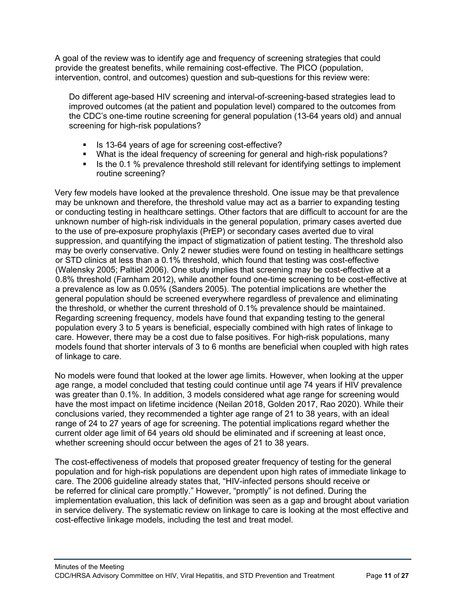A goal of the review was to identify age and frequency of screening strategies that could provide the greatest benefits, while remaining cost-effective. The PICO (population, intervention, control, and outcomes) question and sub-questions for this review were:

Do different age-based HIV screening and interval-of-screening-based strategies lead to improved outcomes (at the patient and population level) compared to the outcomes from the CDC's one-time routine screening for general population (13-64 years old) and annual screening for high-risk populations?

- Is 13-64 years of age for screening cost-effective?
- What is the ideal frequency of screening for general and high-risk populations?
- If Is the 0.1 % prevalence threshold still relevant for identifying settings to implement routine screening?

Very few models have looked at the prevalence threshold. One issue may be that prevalence may be unknown and therefore, the threshold value may act as a barrier to expanding testing or conducting testing in healthcare settings. Other factors that are difficult to account for are the unknown number of high-risk individuals in the general population, primary cases averted due to the use of pre-exposure prophylaxis (PrEP) or secondary cases averted due to viral suppression, and quantifying the impact of stigmatization of patient testing. The threshold also may be overly conservative. Only 2 newer studies were found on testing in healthcare settings or STD clinics at less than a 0.1% threshold, which found that testing was cost-effective (Walensky 2005; Paltiel 2006). One study implies that screening may be cost-effective at a 0.8% threshold (Farnham 2012), while another found one-time screening to be cost-effective at a prevalence as low as 0.05% (Sanders 2005). The potential implications are whether the general population should be screened everywhere regardless of prevalence and eliminating the threshold, or whether the current threshold of 0.1% prevalence should be maintained. Regarding screening frequency, models have found that expanding testing to the general population every 3 to 5 years is beneficial, especially combined with high rates of linkage to care. However, there may be a cost due to false positives. For high-risk populations, many models found that shorter intervals of 3 to 6 months are beneficial when coupled with high rates of linkage to care.

No models were found that looked at the lower age limits. However, when looking at the upper age range, a model concluded that testing could continue until age 74 years if HIV prevalence was greater than 0.1%. In addition, 3 models considered what age range for screening would have the most impact on lifetime incidence (Neilan 2018, Golden 2017, Rao 2020). While their conclusions varied, they recommended a tighter age range of 21 to 38 years, with an ideal range of 24 to 27 years of age for screening. The potential implications regard whether the current older age limit of 64 years old should be eliminated and if screening at least once, whether screening should occur between the ages of 21 to 38 years.

The cost-effectiveness of models that proposed greater frequency of testing for the general population and for high-risk populations are dependent upon high rates of immediate linkage to care. The 2006 guideline already states that, "HIV-infected persons should receive or be referred for clinical care promptly." However, "promptly" is not defined. During the implementation evaluation, this lack of definition was seen as a gap and brought about variation in service delivery. The systematic review on linkage to care is looking at the most effective and cost-effective linkage models, including the test and treat model.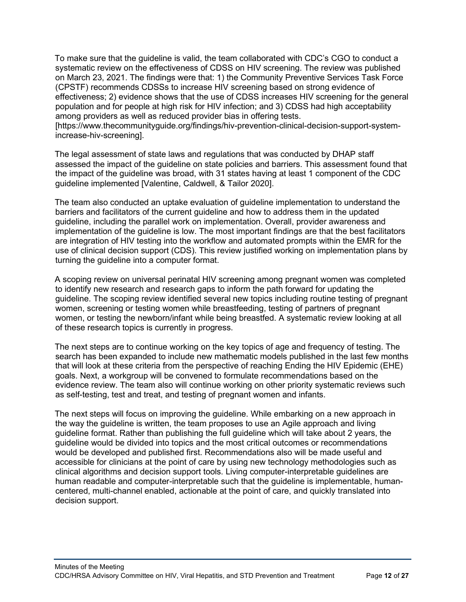To make sure that the guideline is valid, the team collaborated with CDC's CGO to conduct a systematic review on the effectiveness of CDSS on HIV screening. The review was published on March 23, 2021. The findings were that: 1) the Community Preventive Services Task Force (CPSTF) recommends CDSSs to increase HIV screening based on strong evidence of effectiveness; 2) evidence shows that the use of CDSS increases HIV screening for the general population and for people at high risk for HIV infection; and 3) CDSS had high acceptability among providers as well as reduced provider bias in offering tests.

[https://www.thecommunityguide.org/findings/hiv-prevention-clinical-decision-support-systemincrease-hiv-screening].

The legal assessment of state laws and regulations that was conducted by DHAP staff assessed the impact of the guideline on state policies and barriers. This assessment found that the impact of the guideline was broad, with 31 states having at least 1 component of the CDC guideline implemented [Valentine, Caldwell, & Tailor 2020].

The team also conducted an uptake evaluation of guideline implementation to understand the barriers and facilitators of the current guideline and how to address them in the updated guideline, including the parallel work on implementation. Overall, provider awareness and implementation of the guideline is low. The most important findings are that the best facilitators are integration of HIV testing into the workflow and automated prompts within the EMR for the use of clinical decision support (CDS). This review justified working on implementation plans by turning the guideline into a computer format.

A scoping review on universal perinatal HIV screening among pregnant women was completed to identify new research and research gaps to inform the path forward for updating the guideline. The scoping review identified several new topics including routine testing of pregnant women, screening or testing women while breastfeeding, testing of partners of pregnant women, or testing the newborn/infant while being breastfed. A systematic review looking at all of these research topics is currently in progress.

The next steps are to continue working on the key topics of age and frequency of testing. The search has been expanded to include new mathematic models published in the last few months that will look at these criteria from the perspective of reaching Ending the HIV Epidemic (EHE) goals. Next, a workgroup will be convened to formulate recommendations based on the evidence review. The team also will continue working on other priority systematic reviews such as self-testing, test and treat, and testing of pregnant women and infants.

The next steps will focus on improving the guideline. While embarking on a new approach in the way the guideline is written, the team proposes to use an Agile approach and living guideline format. Rather than publishing the full guideline which will take about 2 years, the guideline would be divided into topics and the most critical outcomes or recommendations would be developed and published first. Recommendations also will be made useful and accessible for clinicians at the point of care by using new technology methodologies such as clinical algorithms and decision support tools. Living computer-interpretable guidelines are human readable and computer-interpretable such that the guideline is implementable, humancentered, multi-channel enabled, actionable at the point of care, and quickly translated into decision support.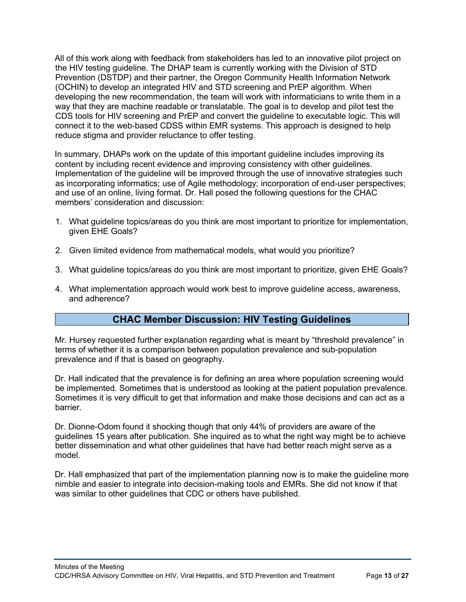All of this work along with feedback from stakeholders has led to an innovative pilot project on the HIV testing guideline. The DHAP team is currently working with the Division of STD Prevention (DSTDP) and their partner, the Oregon Community Health Information Network (OCHIN) to develop an integrated HIV and STD screening and PrEP algorithm. When developing the new recommendation, the team will work with informaticians to write them in a way that they are machine readable or translatable. The goal is to develop and pilot test the CDS tools for HIV screening and PrEP and convert the guideline to executable logic. This will connect it to the web-based CDSS within EMR systems. This approach is designed to help reduce stigma and provider reluctance to offer testing.

In summary, DHAPs work on the update of this important guideline includes improving its content by including recent evidence and improving consistency with other guidelines. Implementation of the guideline will be improved through the use of innovative strategies such as incorporating informatics; use of Agile methodology; incorporation of end-user perspectives; and use of an online, living format. Dr. Hall posed the following questions for the CHAC members' consideration and discussion:

- 1. What guideline topics/areas do you think are most important to prioritize for implementation, given EHE Goals?
- 2. Given limited evidence from mathematical models, what would you prioritize?
- 3. What guideline topics/areas do you think are most important to prioritize, given EHE Goals?
- 4. What implementation approach would work best to improve guideline access, awareness, and adherence?

## **CHAC Member Discussion: HIV Testing Guidelines**

<span id="page-12-0"></span>Mr. Hursey requested further explanation regarding what is meant by "threshold prevalence" in terms of whether it is a comparison between population prevalence and sub-population prevalence and if that is based on geography.

Dr. Hall indicated that the prevalence is for defining an area where population screening would be implemented. Sometimes that is understood as looking at the patient population prevalence. Sometimes it is very difficult to get that information and make those decisions and can act as a barrier.

Dr. Dionne-Odom found it shocking though that only 44% of providers are aware of the guidelines 15 years after publication. She inquired as to what the right way might be to achieve better dissemination and what other guidelines that have had better reach might serve as a model.

Dr. Hall emphasized that part of the implementation planning now is to make the guideline more nimble and easier to integrate into decision-making tools and EMRs. She did not know if that was similar to other guidelines that CDC or others have published.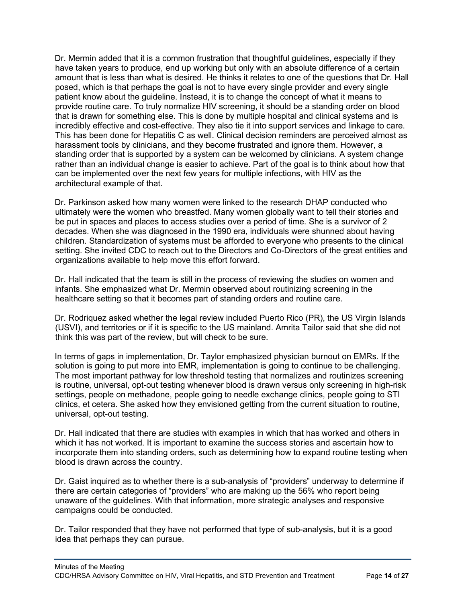Dr. Mermin added that it is a common frustration that thoughtful guidelines, especially if they have taken years to produce, end up working but only with an absolute difference of a certain amount that is less than what is desired. He thinks it relates to one of the questions that Dr. Hall posed, which is that perhaps the goal is not to have every single provider and every single patient know about the guideline. Instead, it is to change the concept of what it means to provide routine care. To truly normalize HIV screening, it should be a standing order on blood that is drawn for something else. This is done by multiple hospital and clinical systems and is incredibly effective and cost-effective. They also tie it into support services and linkage to care. This has been done for Hepatitis C as well. Clinical decision reminders are perceived almost as harassment tools by clinicians, and they become frustrated and ignore them. However, a standing order that is supported by a system can be welcomed by clinicians. A system change rather than an individual change is easier to achieve. Part of the goal is to think about how that can be implemented over the next few years for multiple infections, with HIV as the architectural example of that.

Dr. Parkinson asked how many women were linked to the research DHAP conducted who ultimately were the women who breastfed. Many women globally want to tell their stories and be put in spaces and places to access studies over a period of time. She is a survivor of 2 decades. When she was diagnosed in the 1990 era, individuals were shunned about having children. Standardization of systems must be afforded to everyone who presents to the clinical setting. She invited CDC to reach out to the Directors and Co-Directors of the great entities and organizations available to help move this effort forward.

Dr. Hall indicated that the team is still in the process of reviewing the studies on women and infants. She emphasized what Dr. Mermin observed about routinizing screening in the healthcare setting so that it becomes part of standing orders and routine care.

Dr. Rodriquez asked whether the legal review included Puerto Rico (PR), the US Virgin Islands (USVI), and territories or if it is specific to the US mainland. Amrita Tailor said that she did not think this was part of the review, but will check to be sure.

In terms of gaps in implementation, Dr. Taylor emphasized physician burnout on EMRs. If the solution is going to put more into EMR, implementation is going to continue to be challenging. The most important pathway for low threshold testing that normalizes and routinizes screening is routine, universal, opt-out testing whenever blood is drawn versus only screening in high-risk settings, people on methadone, people going to needle exchange clinics, people going to STI clinics, et cetera. She asked how they envisioned getting from the current situation to routine, universal, opt-out testing.

Dr. Hall indicated that there are studies with examples in which that has worked and others in which it has not worked. It is important to examine the success stories and ascertain how to incorporate them into standing orders, such as determining how to expand routine testing when blood is drawn across the country.

Dr. Gaist inquired as to whether there is a sub-analysis of "providers" underway to determine if there are certain categories of "providers" who are making up the 56% who report being unaware of the guidelines. With that information, more strategic analyses and responsive campaigns could be conducted.

Dr. Tailor responded that they have not performed that type of sub-analysis, but it is a good idea that perhaps they can pursue.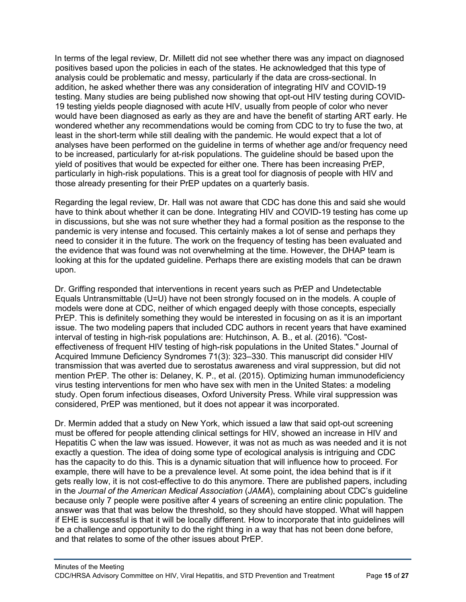In terms of the legal review, Dr. Millett did not see whether there was any impact on diagnosed positives based upon the policies in each of the states. He acknowledged that this type of analysis could be problematic and messy, particularly if the data are cross-sectional. In addition, he asked whether there was any consideration of integrating HIV and COVID-19 testing. Many studies are being published now showing that opt-out HIV testing during COVID-19 testing yields people diagnosed with acute HIV, usually from people of color who never would have been diagnosed as early as they are and have the benefit of starting ART early. He wondered whether any recommendations would be coming from CDC to try to fuse the two, at least in the short-term while still dealing with the pandemic. He would expect that a lot of analyses have been performed on the guideline in terms of whether age and/or frequency need to be increased, particularly for at-risk populations. The guideline should be based upon the yield of positives that would be expected for either one. There has been increasing PrEP, particularly in high-risk populations. This is a great tool for diagnosis of people with HIV and those already presenting for their PrEP updates on a quarterly basis.

Regarding the legal review, Dr. Hall was not aware that CDC has done this and said she would have to think about whether it can be done. Integrating HIV and COVID-19 testing has come up in discussions, but she was not sure whether they had a formal position as the response to the pandemic is very intense and focused. This certainly makes a lot of sense and perhaps they need to consider it in the future. The work on the frequency of testing has been evaluated and the evidence that was found was not overwhelming at the time. However, the DHAP team is looking at this for the updated guideline. Perhaps there are existing models that can be drawn upon.

Dr. Griffing responded that interventions in recent years such as PrEP and Undetectable Equals Untransmittable (U=U) have not been strongly focused on in the models. A couple of models were done at CDC, neither of which engaged deeply with those concepts, especially PrEP. This is definitely something they would be interested in focusing on as it is an important issue. The two modeling papers that included CDC authors in recent years that have examined interval of testing in high-risk populations are: Hutchinson, A. B., et al. (2016). "Costeffectiveness of frequent HIV testing of high-risk populations in the United States." Journal of Acquired Immune Deficiency Syndromes 71(3): 323–330. This manuscript did consider HIV transmission that was averted due to serostatus awareness and viral suppression, but did not mention PrEP. The other is: Delaney, K. P., et al. (2015). Optimizing human immunodeficiency virus testing interventions for men who have sex with men in the United States: a modeling study. Open forum infectious diseases, Oxford University Press. While viral suppression was considered, PrEP was mentioned, but it does not appear it was incorporated.

Dr. Mermin added that a study on New York, which issued a law that said opt-out screening must be offered for people attending clinical settings for HIV, showed an increase in HIV and Hepatitis C when the law was issued. However, it was not as much as was needed and it is not exactly a question. The idea of doing some type of ecological analysis is intriguing and CDC has the capacity to do this. This is a dynamic situation that will influence how to proceed. For example, there will have to be a prevalence level. At some point, the idea behind that is if it gets really low, it is not cost-effective to do this anymore. There are published papers, including in the *Journal of the American Medical Association* (*JAMA*), complaining about CDC's guideline because only 7 people were positive after 4 years of screening an entire clinic population. The answer was that that was below the threshold, so they should have stopped. What will happen if EHE is successful is that it will be locally different. How to incorporate that into guidelines will be a challenge and opportunity to do the right thing in a way that has not been done before, and that relates to some of the other issues about PrEP.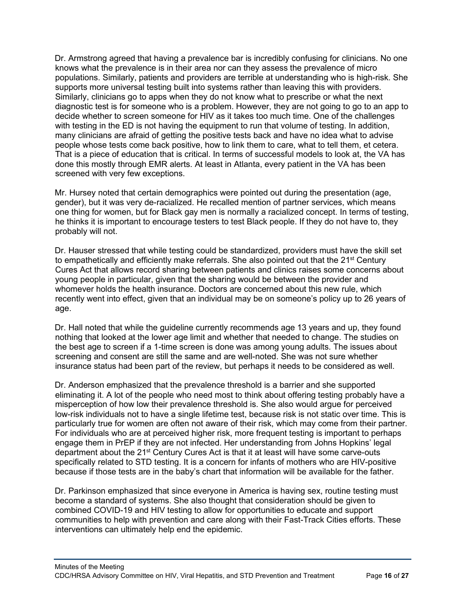Dr. Armstrong agreed that having a prevalence bar is incredibly confusing for clinicians. No one knows what the prevalence is in their area nor can they assess the prevalence of micro populations. Similarly, patients and providers are terrible at understanding who is high-risk. She supports more universal testing built into systems rather than leaving this with providers. Similarly, clinicians go to apps when they do not know what to prescribe or what the next diagnostic test is for someone who is a problem. However, they are not going to go to an app to decide whether to screen someone for HIV as it takes too much time. One of the challenges with testing in the ED is not having the equipment to run that volume of testing. In addition, many clinicians are afraid of getting the positive tests back and have no idea what to advise people whose tests come back positive, how to link them to care, what to tell them, et cetera. That is a piece of education that is critical. In terms of successful models to look at, the VA has done this mostly through EMR alerts. At least in Atlanta, every patient in the VA has been screened with very few exceptions.

Mr. Hursey noted that certain demographics were pointed out during the presentation (age, gender), but it was very de-racialized. He recalled mention of partner services, which means one thing for women, but for Black gay men is normally a racialized concept. In terms of testing, he thinks it is important to encourage testers to test Black people. If they do not have to, they probably will not.

Dr. Hauser stressed that while testing could be standardized, providers must have the skill set to empathetically and efficiently make referrals. She also pointed out that the 21<sup>st</sup> Century Cures Act that allows record sharing between patients and clinics raises some concerns about young people in particular, given that the sharing would be between the provider and whomever holds the health insurance. Doctors are concerned about this new rule, which recently went into effect, given that an individual may be on someone's policy up to 26 years of age.

Dr. Hall noted that while the guideline currently recommends age 13 years and up, they found nothing that looked at the lower age limit and whether that needed to change. The studies on the best age to screen if a 1-time screen is done was among young adults. The issues about screening and consent are still the same and are well-noted. She was not sure whether insurance status had been part of the review, but perhaps it needs to be considered as well.

Dr. Anderson emphasized that the prevalence threshold is a barrier and she supported eliminating it. A lot of the people who need most to think about offering testing probably have a misperception of how low their prevalence threshold is. She also would argue for perceived low-risk individuals not to have a single lifetime test, because risk is not static over time. This is particularly true for women are often not aware of their risk, which may come from their partner. For individuals who are at perceived higher risk, more frequent testing is important to perhaps engage them in PrEP if they are not infected. Her understanding from Johns Hopkins' legal department about the 21<sup>st</sup> Century Cures Act is that it at least will have some carve-outs specifically related to STD testing. It is a concern for infants of mothers who are HIV-positive because if those tests are in the baby's chart that information will be available for the father.

Dr. Parkinson emphasized that since everyone in America is having sex, routine testing must become a standard of systems. She also thought that consideration should be given to combined COVID-19 and HIV testing to allow for opportunities to educate and support communities to help with prevention and care along with their Fast-Track Cities efforts. These interventions can ultimately help end the epidemic.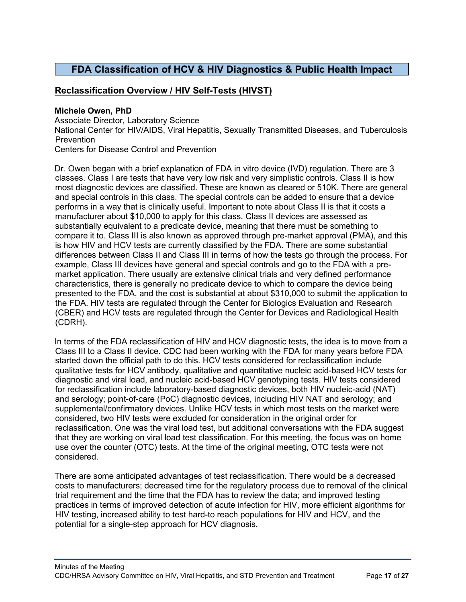## <span id="page-16-0"></span>**FDA Classification of HCV & HIV Diagnostics & Public Health Impact**

### <span id="page-16-1"></span>**Reclassification Overview / HIV Self-Tests (HIVST)**

#### **Michele Owen, PhD**

Associate Director, Laboratory Science National Center for HIV/AIDS, Viral Hepatitis, Sexually Transmitted Diseases, and Tuberculosis Prevention Centers for Disease Control and Prevention

Dr. Owen began with a brief explanation of FDA in vitro device (IVD) regulation. There are 3 classes. Class I are tests that have very low risk and very simplistic controls. Class II is how most diagnostic devices are classified. These are known as cleared or 510K. There are general and special controls in this class. The special controls can be added to ensure that a device performs in a way that is clinically useful. Important to note about Class II is that it costs a manufacturer about \$10,000 to apply for this class. Class II devices are assessed as substantially equivalent to a predicate device, meaning that there must be something to compare it to. Class III is also known as approved through pre-market approval (PMA), and this is how HIV and HCV tests are currently classified by the FDA. There are some substantial differences between Class II and Class III in terms of how the tests go through the process. For example, Class III devices have general and special controls and go to the FDA with a premarket application. There usually are extensive clinical trials and very defined performance characteristics, there is generally no predicate device to which to compare the device being presented to the FDA, and the cost is substantial at about \$310,000 to submit the application to the FDA. HIV tests are regulated through the Center for Biologics Evaluation and Research (CBER) and HCV tests are regulated through the Center for Devices and Radiological Health (CDRH).

In terms of the FDA reclassification of HIV and HCV diagnostic tests, the idea is to move from a Class III to a Class II device. CDC had been working with the FDA for many years before FDA started down the official path to do this. HCV tests considered for reclassification include qualitative tests for HCV antibody, qualitative and quantitative nucleic acid-based HCV tests for diagnostic and viral load, and nucleic acid-based HCV genotyping tests. HIV tests considered for reclassification include laboratory-based diagnostic devices, both HIV nucleic-acid (NAT) and serology; point-of-care (PoC) diagnostic devices, including HIV NAT and serology; and supplemental/confirmatory devices. Unlike HCV tests in which most tests on the market were considered, two HIV tests were excluded for consideration in the original order for reclassification. One was the viral load test, but additional conversations with the FDA suggest that they are working on viral load test classification. For this meeting, the focus was on home use over the counter (OTC) tests. At the time of the original meeting, OTC tests were not considered.

There are some anticipated advantages of test reclassification. There would be a decreased costs to manufacturers; decreased time for the regulatory process due to removal of the clinical trial requirement and the time that the FDA has to review the data; and improved testing practices in terms of improved detection of acute infection for HIV, more efficient algorithms for HIV testing, increased ability to test hard-to reach populations for HIV and HCV, and the potential for a single-step approach for HCV diagnosis.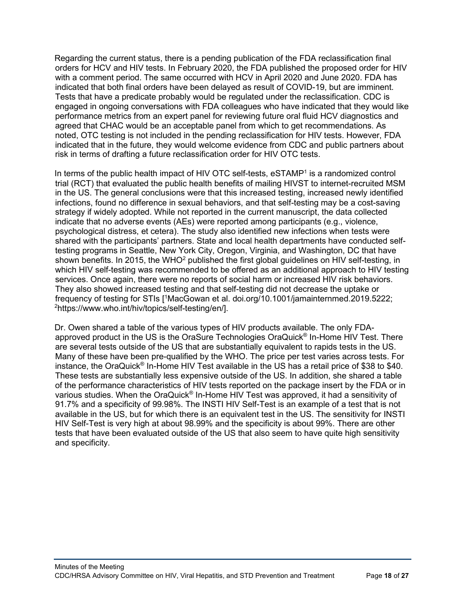Regarding the current status, there is a pending publication of the FDA reclassification final orders for HCV and HIV tests. In February 2020, the FDA published the proposed order for HIV with a comment period. The same occurred with HCV in April 2020 and June 2020. FDA has indicated that both final orders have been delayed as result of COVID-19, but are imminent. Tests that have a predicate probably would be regulated under the reclassification. CDC is engaged in ongoing conversations with FDA colleagues who have indicated that they would like performance metrics from an expert panel for reviewing future oral fluid HCV diagnostics and agreed that CHAC would be an acceptable panel from which to get recommendations. As noted, OTC testing is not included in the pending reclassification for HIV tests. However, FDA indicated that in the future, they would welcome evidence from CDC and public partners about risk in terms of drafting a future reclassification order for HIV OTC tests.

In terms of the public health impact of HIV OTC self-tests, eSTAMP<sup>1</sup> is a randomized control trial (RCT) that evaluated the public health benefits of mailing HIVST to internet-recruited MSM in the US. The general conclusions were that this increased testing, increased newly identified infections, found no difference in sexual behaviors, and that self-testing may be a cost-saving strategy if widely adopted. While not reported in the current manuscript, the data collected indicate that no adverse events (AEs) were reported among participants (e.g., violence, psychological distress, et cetera). The study also identified new infections when tests were shared with the participants' partners. State and local health departments have conducted selftesting programs in Seattle, New York City, Oregon, Virginia, and Washington, DC that have shown benefits. In 2015, the WHO<sup>2</sup> published the first global guidelines on HIV self-testing, in which HIV self-testing was recommended to be offered as an additional approach to HIV testing services. Once again, there were no reports of social harm or increased HIV risk behaviors. They also showed increased testing and that self-testing did not decrease the uptake or frequency of testing for STIs [1 MacGowan et al. doi.org/10.1001/jamainternmed.2019.5222; 2 https://www.who.int/hiv/topics/self-testing/en/].

Dr. Owen shared a table of the various types of HIV products available. The only FDAapproved product in the US is the OraSure Technologies OraQuick<sup>®</sup> In-Home HIV Test. There are several tests outside of the US that are substantially equivalent to rapids tests in the US. Many of these have been pre-qualified by the WHO. The price per test varies across tests. For instance, the OraQuick® In-Home HIV Test available in the US has a retail price of \$38 to \$40. These tests are substantially less expensive outside of the US. In addition, she shared a table of the performance characteristics of HIV tests reported on the package insert by the FDA or in various studies. When the OraQuick® In-Home HIV Test was approved, it had a sensitivity of 91.7% and a specificity of 99.98%. The INSTI HIV Self-Test is an example of a test that is not available in the US, but for which there is an equivalent test in the US. The sensitivity for INSTI HIV Self-Test is very high at about 98.99% and the specificity is about 99%. There are other tests that have been evaluated outside of the US that also seem to have quite high sensitivity and specificity.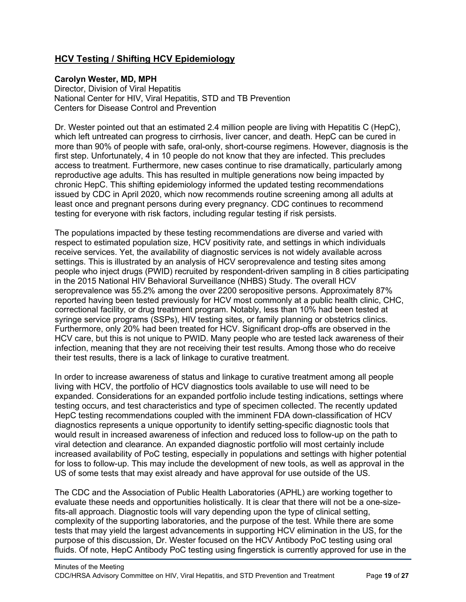## <span id="page-18-0"></span>**HCV Testing / Shifting HCV Epidemiology**

#### **Carolyn Wester, MD, MPH**

Director, Division of Viral Hepatitis National Center for HIV, Viral Hepatitis, STD and TB Prevention Centers for Disease Control and Prevention

Dr. Wester pointed out that an estimated 2.4 million people are living with Hepatitis C (HepC), which left untreated can progress to cirrhosis, liver cancer, and death. HepC can be cured in more than 90% of people with safe, oral-only, short-course regimens. However, diagnosis is the first step. Unfortunately, 4 in 10 people do not know that they are infected. This precludes access to treatment. Furthermore, new cases continue to rise dramatically, particularly among reproductive age adults. This has resulted in multiple generations now being impacted by chronic HepC. This shifting epidemiology informed the updated testing recommendations issued by CDC in April 2020, which now recommends routine screening among all adults at least once and pregnant persons during every pregnancy. CDC continues to recommend testing for everyone with risk factors, including regular testing if risk persists.

The populations impacted by these testing recommendations are diverse and varied with respect to estimated population size, HCV positivity rate, and settings in which individuals receive services. Yet, the availability of diagnostic services is not widely available across settings. This is illustrated by an analysis of HCV seroprevalence and testing sites among people who inject drugs (PWID) recruited by respondent-driven sampling in 8 cities participating in the 2015 National HIV Behavioral Surveillance (NHBS) Study. The overall HCV seroprevalence was 55.2% among the over 2200 seropositive persons. Approximately 87% reported having been tested previously for HCV most commonly at a public health clinic, CHC, correctional facility, or drug treatment program. Notably, less than 10% had been tested at syringe service programs (SSPs), HIV testing sites, or family planning or obstetrics clinics. Furthermore, only 20% had been treated for HCV. Significant drop-offs are observed in the HCV care, but this is not unique to PWID. Many people who are tested lack awareness of their infection, meaning that they are not receiving their test results. Among those who do receive their test results, there is a lack of linkage to curative treatment.

In order to increase awareness of status and linkage to curative treatment among all people living with HCV, the portfolio of HCV diagnostics tools available to use will need to be expanded. Considerations for an expanded portfolio include testing indications, settings where testing occurs, and test characteristics and type of specimen collected. The recently updated HepC testing recommendations coupled with the imminent FDA down-classification of HCV diagnostics represents a unique opportunity to identify setting-specific diagnostic tools that would result in increased awareness of infection and reduced loss to follow-up on the path to viral detection and clearance. An expanded diagnostic portfolio will most certainly include increased availability of PoC testing, especially in populations and settings with higher potential for loss to follow-up. This may include the development of new tools, as well as approval in the US of some tests that may exist already and have approval for use outside of the US.

The CDC and the Association of Public Health Laboratories (APHL) are working together to evaluate these needs and opportunities holistically. It is clear that there will not be a one-sizefits-all approach. Diagnostic tools will vary depending upon the type of clinical setting, complexity of the supporting laboratories, and the purpose of the test. While there are some tests that may yield the largest advancements in supporting HCV elimination in the US, for the purpose of this discussion, Dr. Wester focused on the HCV Antibody PoC testing using oral fluids. Of note, HepC Antibody PoC testing using fingerstick is currently approved for use in the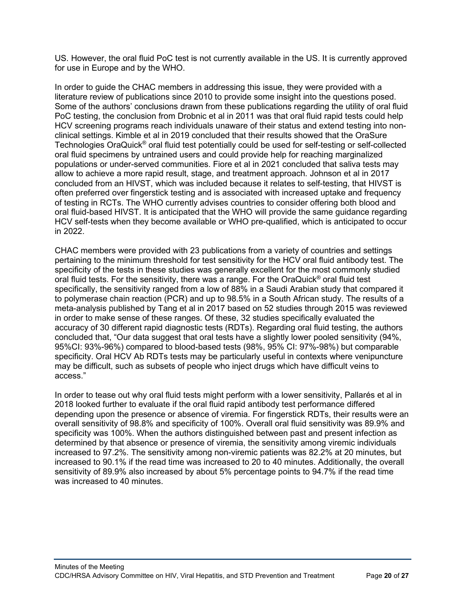US. However, the oral fluid PoC test is not currently available in the US. It is currently approved for use in Europe and by the WHO.

In order to guide the CHAC members in addressing this issue, they were provided with a literature review of publications since 2010 to provide some insight into the questions posed. Some of the authors' conclusions drawn from these publications regarding the utility of oral fluid PoC testing, the conclusion from Drobnic et al in 2011 was that oral fluid rapid tests could help HCV screening programs reach individuals unaware of their status and extend testing into nonclinical settings. Kimble et al in 2019 concluded that their results showed that the OraSure Technologies OraQuick® oral fluid test potentially could be used for self-testing or self-collected oral fluid specimens by untrained users and could provide help for reaching marginalized populations or under-served communities. Fiore et al in 2021 concluded that saliva tests may allow to achieve a more rapid result, stage, and treatment approach. Johnson et al in 2017 concluded from an HIVST, which was included because it relates to self-testing, that HIVST is often preferred over fingerstick testing and is associated with increased uptake and frequency of testing in RCTs. The WHO currently advises countries to consider offering both blood and oral fluid-based HIVST. It is anticipated that the WHO will provide the same guidance regarding HCV self-tests when they become available or WHO pre-qualified, which is anticipated to occur in 2022.

CHAC members were provided with 23 publications from a variety of countries and settings pertaining to the minimum threshold for test sensitivity for the HCV oral fluid antibody test. The specificity of the tests in these studies was generally excellent for the most commonly studied oral fluid tests. For the sensitivity, there was a range. For the OraQuick® oral fluid test specifically, the sensitivity ranged from a low of 88% in a Saudi Arabian study that compared it to polymerase chain reaction (PCR) and up to 98.5% in a South African study. The results of a meta-analysis published by Tang et al in 2017 based on 52 studies through 2015 was reviewed in order to make sense of these ranges. Of these, 32 studies specifically evaluated the accuracy of 30 different rapid diagnostic tests (RDTs). Regarding oral fluid testing, the authors concluded that, "Our data suggest that oral tests have a slightly lower pooled sensitivity (94%, 95%CI: 93%-96%) compared to blood-based tests (98%, 95% CI: 97%-98%) but comparable specificity. Oral HCV Ab RDTs tests may be particularly useful in contexts where venipuncture may be difficult, such as subsets of people who inject drugs which have difficult veins to access."

In order to tease out why oral fluid tests might perform with a lower sensitivity, Pallarés et al in 2018 looked further to evaluate if the oral fluid rapid antibody test performance differed depending upon the presence or absence of viremia. For fingerstick RDTs, their results were an overall sensitivity of 98.8% and specificity of 100%. Overall oral fluid sensitivity was 89.9% and specificity was 100%. When the authors distinguished between past and present infection as determined by that absence or presence of viremia, the sensitivity among viremic individuals increased to 97.2%. The sensitivity among non-viremic patients was 82.2% at 20 minutes, but increased to 90.1% if the read time was increased to 20 to 40 minutes. Additionally, the overall sensitivity of 89.9% also increased by about 5% percentage points to 94.7% if the read time was increased to 40 minutes.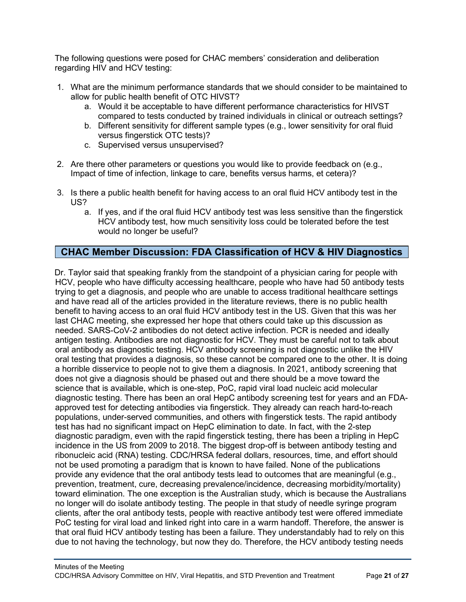The following questions were posed for CHAC members' consideration and deliberation regarding HIV and HCV testing:

- 1. What are the minimum performance standards that we should consider to be maintained to allow for public health benefit of OTC HIVST?
	- a. Would it be acceptable to have different performance characteristics for HIVST compared to tests conducted by trained individuals in clinical or outreach settings?
	- b. Different sensitivity for different sample types (e.g., lower sensitivity for oral fluid versus fingerstick OTC tests)?
	- c. Supervised versus unsupervised?
- 2. Are there other parameters or questions you would like to provide feedback on (e.g., Impact of time of infection, linkage to care, benefits versus harms, et cetera)?
- 3. Is there a public health benefit for having access to an oral fluid HCV antibody test in the US?
	- a. If yes, and if the oral fluid HCV antibody test was less sensitive than the fingerstick HCV antibody test, how much sensitivity loss could be tolerated before the test would no longer be useful?

### <span id="page-20-0"></span>**CHAC Member Discussion: FDA Classification of HCV & HIV Diagnostics**

Dr. Taylor said that speaking frankly from the standpoint of a physician caring for people with HCV, people who have difficulty accessing healthcare, people who have had 50 antibody tests trying to get a diagnosis, and people who are unable to access traditional healthcare settings and have read all of the articles provided in the literature reviews, there is no public health benefit to having access to an oral fluid HCV antibody test in the US. Given that this was her last CHAC meeting, she expressed her hope that others could take up this discussion as needed. SARS-CoV-2 antibodies do not detect active infection. PCR is needed and ideally antigen testing. Antibodies are not diagnostic for HCV. They must be careful not to talk about oral antibody as diagnostic testing. HCV antibody screening is not diagnostic unlike the HIV oral testing that provides a diagnosis, so these cannot be compared one to the other. It is doing a horrible disservice to people not to give them a diagnosis. In 2021, antibody screening that does not give a diagnosis should be phased out and there should be a move toward the science that is available, which is one-step, PoC, rapid viral load nucleic acid molecular diagnostic testing. There has been an oral HepC antibody screening test for years and an FDAapproved test for detecting antibodies via fingerstick. They already can reach hard-to-reach populations, under-served communities, and others with fingerstick tests. The rapid antibody test has had no significant impact on HepC elimination to date. In fact, with the 2-step diagnostic paradigm, even with the rapid fingerstick testing, there has been a tripling in HepC incidence in the US from 2009 to 2018. The biggest drop-off is between antibody testing and ribonucleic acid (RNA) testing. CDC/HRSA federal dollars, resources, time, and effort should not be used promoting a paradigm that is known to have failed. None of the publications provide any evidence that the oral antibody tests lead to outcomes that are meaningful (e.g., prevention, treatment, cure, decreasing prevalence/incidence, decreasing morbidity/mortality) toward elimination. The one exception is the Australian study, which is because the Australians no longer will do isolate antibody testing. The people in that study of needle syringe program clients, after the oral antibody tests, people with reactive antibody test were offered immediate PoC testing for viral load and linked right into care in a warm handoff. Therefore, the answer is that oral fluid HCV antibody testing has been a failure. They understandably had to rely on this due to not having the technology, but now they do. Therefore, the HCV antibody testing needs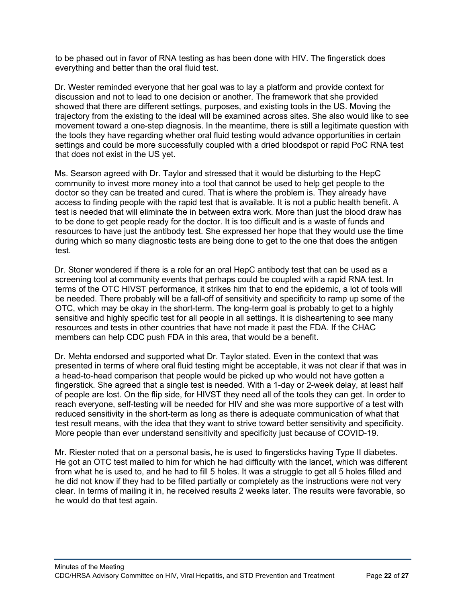to be phased out in favor of RNA testing as has been done with HIV. The fingerstick does everything and better than the oral fluid test.

Dr. Wester reminded everyone that her goal was to lay a platform and provide context for discussion and not to lead to one decision or another. The framework that she provided showed that there are different settings, purposes, and existing tools in the US. Moving the trajectory from the existing to the ideal will be examined across sites. She also would like to see movement toward a one-step diagnosis. In the meantime, there is still a legitimate question with the tools they have regarding whether oral fluid testing would advance opportunities in certain settings and could be more successfully coupled with a dried bloodspot or rapid PoC RNA test that does not exist in the US yet.

Ms. Searson agreed with Dr. Taylor and stressed that it would be disturbing to the HepC community to invest more money into a tool that cannot be used to help get people to the doctor so they can be treated and cured. That is where the problem is. They already have access to finding people with the rapid test that is available. It is not a public health benefit. A test is needed that will eliminate the in between extra work. More than just the blood draw has to be done to get people ready for the doctor. It is too difficult and is a waste of funds and resources to have just the antibody test. She expressed her hope that they would use the time during which so many diagnostic tests are being done to get to the one that does the antigen test.

Dr. Stoner wondered if there is a role for an oral HepC antibody test that can be used as a screening tool at community events that perhaps could be coupled with a rapid RNA test. In terms of the OTC HIVST performance, it strikes him that to end the epidemic, a lot of tools will be needed. There probably will be a fall-off of sensitivity and specificity to ramp up some of the OTC, which may be okay in the short-term. The long-term goal is probably to get to a highly sensitive and highly specific test for all people in all settings. It is disheartening to see many resources and tests in other countries that have not made it past the FDA. If the CHAC members can help CDC push FDA in this area, that would be a benefit.

Dr. Mehta endorsed and supported what Dr. Taylor stated. Even in the context that was presented in terms of where oral fluid testing might be acceptable, it was not clear if that was in a head-to-head comparison that people would be picked up who would not have gotten a fingerstick. She agreed that a single test is needed. With a 1-day or 2-week delay, at least half of people are lost. On the flip side, for HIVST they need all of the tools they can get. In order to reach everyone, self-testing will be needed for HIV and she was more supportive of a test with reduced sensitivity in the short-term as long as there is adequate communication of what that test result means, with the idea that they want to strive toward better sensitivity and specificity. More people than ever understand sensitivity and specificity just because of COVID-19.

Mr. Riester noted that on a personal basis, he is used to fingersticks having Type II diabetes. He got an OTC test mailed to him for which he had difficulty with the lancet, which was different from what he is used to, and he had to fill 5 holes. It was a struggle to get all 5 holes filled and he did not know if they had to be filled partially or completely as the instructions were not very clear. In terms of mailing it in, he received results 2 weeks later. The results were favorable, so he would do that test again.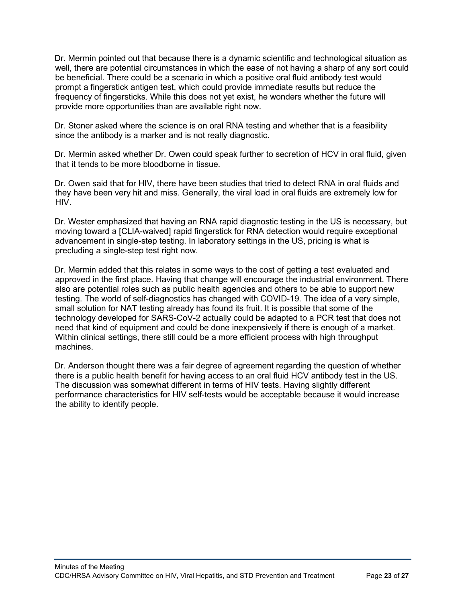Dr. Mermin pointed out that because there is a dynamic scientific and technological situation as well, there are potential circumstances in which the ease of not having a sharp of any sort could be beneficial. There could be a scenario in which a positive oral fluid antibody test would prompt a fingerstick antigen test, which could provide immediate results but reduce the frequency of fingersticks. While this does not yet exist, he wonders whether the future will provide more opportunities than are available right now.

Dr. Stoner asked where the science is on oral RNA testing and whether that is a feasibility since the antibody is a marker and is not really diagnostic.

Dr. Mermin asked whether Dr. Owen could speak further to secretion of HCV in oral fluid, given that it tends to be more bloodborne in tissue.

Dr. Owen said that for HIV, there have been studies that tried to detect RNA in oral fluids and they have been very hit and miss. Generally, the viral load in oral fluids are extremely low for HIV.

Dr. Wester emphasized that having an RNA rapid diagnostic testing in the US is necessary, but moving toward a [CLIA-waived] rapid fingerstick for RNA detection would require exceptional advancement in single-step testing. In laboratory settings in the US, pricing is what is precluding a single-step test right now.

Dr. Mermin added that this relates in some ways to the cost of getting a test evaluated and approved in the first place. Having that change will encourage the industrial environment. There also are potential roles such as public health agencies and others to be able to support new testing. The world of self-diagnostics has changed with COVID-19. The idea of a very simple, small solution for NAT testing already has found its fruit. It is possible that some of the technology developed for SARS-CoV-2 actually could be adapted to a PCR test that does not need that kind of equipment and could be done inexpensively if there is enough of a market. Within clinical settings, there still could be a more efficient process with high throughput machines.

Dr. Anderson thought there was a fair degree of agreement regarding the question of whether there is a public health benefit for having access to an oral fluid HCV antibody test in the US. The discussion was somewhat different in terms of HIV tests. Having slightly different performance characteristics for HIV self-tests would be acceptable because it would increase the ability to identify people.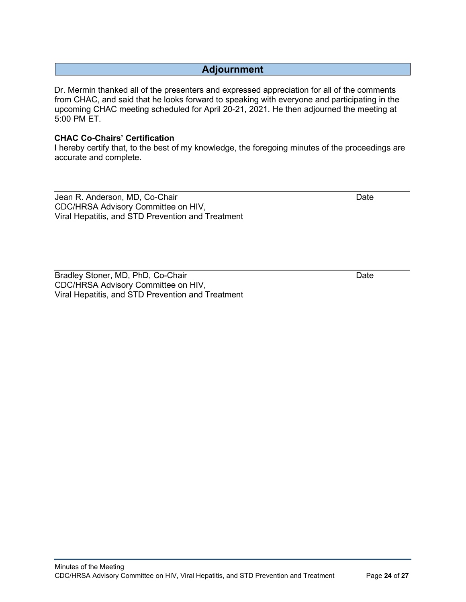## **Adjournment**

<span id="page-23-0"></span>Dr. Mermin thanked all of the presenters and expressed appreciation for all of the comments from CHAC, and said that he looks forward to speaking with everyone and participating in the upcoming CHAC meeting scheduled for April 20-21, 2021. He then adjourned the meeting at 5:00 PM ET.

#### **CHAC Co-Chairs' Certification**

I hereby certify that, to the best of my knowledge, the foregoing minutes of the proceedings are accurate and complete.

Jean R. Anderson, MD, Co-Chair Date Date Date Date Date Date CDC/HRSA Advisory Committee on HIV, Viral Hepatitis, and STD Prevention and Treatment

Bradley Stoner, MD, PhD, Co-Chair Date Date Date Date CDC/HRSA Advisory Committee on HIV, Viral Hepatitis, and STD Prevention and Treatment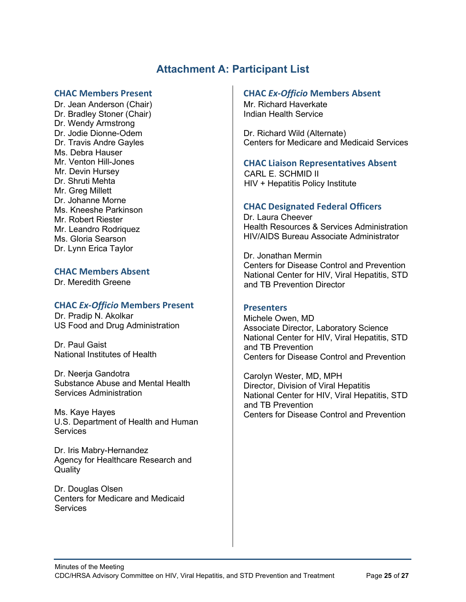## **Attachment A: Participant List**

#### <span id="page-24-0"></span>**CHAC Members Present**

Dr. Jean Anderson (Chair) Dr. Bradley Stoner (Chair) Dr. Wendy Armstrong Dr. Jodie Dionne-Odem Dr. Travis Andre Gayles Ms. Debra Hauser Mr. Venton Hill-Jones Mr. Devin Hursey Dr. Shruti Mehta Mr. Greg Millett Dr. Johanne Morne Ms. Kneeshe Parkinson Mr. Robert Riester Mr. Leandro Rodriquez Ms. Gloria Searson Dr. Lynn Erica Taylor

#### **CHAC Members Absent**

Dr. Meredith Greene

#### **CHAC** *Ex-Officio* **Members Present**

Dr. Pradip N. Akolkar US Food and Drug Administration

Dr. Paul Gaist National Institutes of Health

Dr. Neerja Gandotra Substance Abuse and Mental Health Services Administration

Ms. Kaye Hayes U.S. Department of Health and Human **Services** 

Dr. Iris Mabry-Hernandez Agency for Healthcare Research and **Quality** 

Dr. Douglas Olsen Centers for Medicare and Medicaid **Services** 

#### **CHAC** *Ex-Officio* **Members Absent**

Mr. Richard Haverkate Indian Health Service

Dr. Richard Wild (Alternate) Centers for Medicare and Medicaid Services

#### **CHAC Liaison Representatives Absent**

CARL E. SCHMID II HIV + Hepatitis Policy Institute

#### **CHAC Designated Federal Officers**

Dr. Laura Cheever Health Resources & Services Administration HIV/AIDS Bureau Associate Administrator

Dr. Jonathan Mermin Centers for Disease Control and Prevention National Center for HIV, Viral Hepatitis, STD and TB Prevention Director

#### **Presenters**

Michele Owen, MD Associate Director, Laboratory Science National Center for HIV, Viral Hepatitis, STD and TB Prevention Centers for Disease Control and Prevention

Carolyn Wester, MD, MPH Director, Division of Viral Hepatitis National Center for HIV, Viral Hepatitis, STD and TB Prevention Centers for Disease Control and Prevention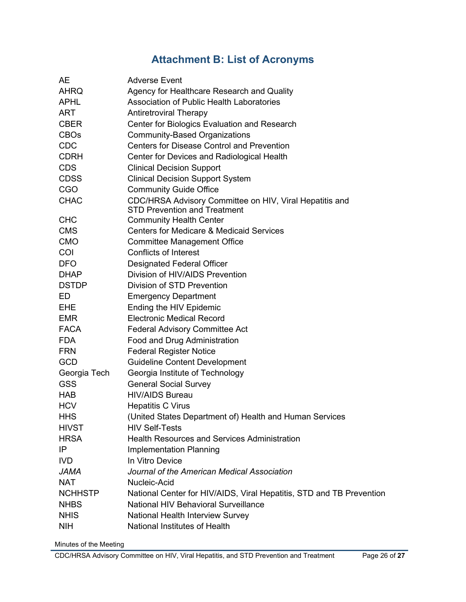# **Attachment B: List of Acronyms**

<span id="page-25-0"></span>

| AE             | <b>Adverse Event</b>                                                 |
|----------------|----------------------------------------------------------------------|
| <b>AHRQ</b>    | Agency for Healthcare Research and Quality                           |
| <b>APHL</b>    | <b>Association of Public Health Laboratories</b>                     |
| <b>ART</b>     | <b>Antiretroviral Therapy</b>                                        |
| <b>CBER</b>    | Center for Biologics Evaluation and Research                         |
| <b>CBOs</b>    | <b>Community-Based Organizations</b>                                 |
| <b>CDC</b>     | <b>Centers for Disease Control and Prevention</b>                    |
| <b>CDRH</b>    | Center for Devices and Radiological Health                           |
| <b>CDS</b>     | <b>Clinical Decision Support</b>                                     |
| <b>CDSS</b>    | <b>Clinical Decision Support System</b>                              |
| <b>CGO</b>     | <b>Community Guide Office</b>                                        |
| <b>CHAC</b>    | CDC/HRSA Advisory Committee on HIV, Viral Hepatitis and              |
|                | <b>STD Prevention and Treatment</b>                                  |
| <b>CHC</b>     | <b>Community Health Center</b>                                       |
| <b>CMS</b>     | <b>Centers for Medicare &amp; Medicaid Services</b>                  |
| <b>CMO</b>     | Committee Management Office                                          |
| COI            | <b>Conflicts of Interest</b>                                         |
| <b>DFO</b>     | <b>Designated Federal Officer</b>                                    |
| <b>DHAP</b>    | Division of HIV/AIDS Prevention                                      |
| <b>DSTDP</b>   | Division of STD Prevention                                           |
| ED.            | <b>Emergency Department</b>                                          |
| EHE.           | Ending the HIV Epidemic                                              |
| <b>EMR</b>     | <b>Electronic Medical Record</b>                                     |
| <b>FACA</b>    | <b>Federal Advisory Committee Act</b>                                |
| <b>FDA</b>     | Food and Drug Administration                                         |
| <b>FRN</b>     | <b>Federal Register Notice</b>                                       |
| <b>GCD</b>     | <b>Guideline Content Development</b>                                 |
| Georgia Tech   | Georgia Institute of Technology                                      |
| <b>GSS</b>     | <b>General Social Survey</b>                                         |
| <b>HAB</b>     | <b>HIV/AIDS Bureau</b>                                               |
| <b>HCV</b>     | <b>Hepatitis C Virus</b>                                             |
| <b>HHS</b>     | (United States Department of) Health and Human Services              |
| <b>HIVST</b>   | <b>HIV Self-Tests</b>                                                |
| <b>HRSA</b>    | <b>Health Resources and Services Administration</b>                  |
| IP             | <b>Implementation Planning</b>                                       |
| <b>IVD</b>     | In Vitro Device                                                      |
| <b>JAMA</b>    | Journal of the American Medical Association                          |
| <b>NAT</b>     | Nucleic-Acid                                                         |
| <b>NCHHSTP</b> | National Center for HIV/AIDS, Viral Hepatitis, STD and TB Prevention |
| <b>NHBS</b>    | National HIV Behavioral Surveillance                                 |
| <b>NHIS</b>    | National Health Interview Survey                                     |
| <b>NIH</b>     | National Institutes of Health                                        |

Minutes of the Meeting